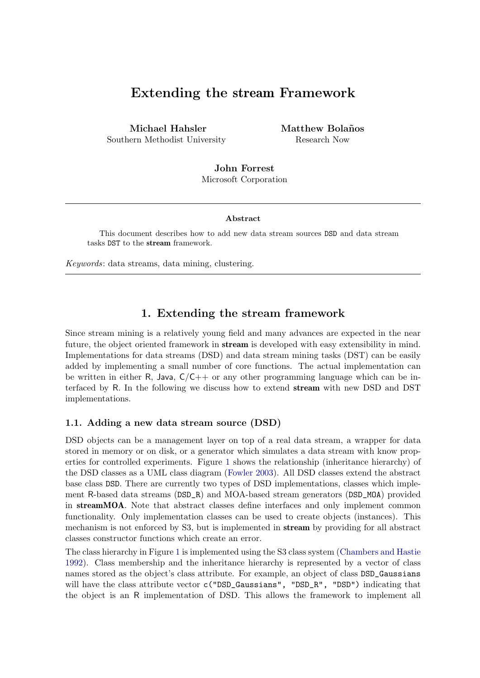# Extending the stream Framework

Michael Hahsler Southern Methodist University Matthew Bolaños Research Now

John Forrest Microsoft Corporation

#### Abstract

This document describes how to add new data stream sources DSD and data stream tasks DST to the stream framework.

Keywords: data streams, data mining, clustering.

## 1. Extending the stream framework

Since stream mining is a relatively young field and many advances are expected in the near future, the object oriented framework in **stream** is developed with easy extensibility in mind. Implementations for data streams (DSD) and data stream mining tasks (DST) can be easily added by implementing a small number of core functions. The actual implementation can be written in either R, Java,  $C/C++$  or any other programming language which can be interfaced by R. In the following we discuss how to extend stream with new DSD and DST implementations.

### 1.1. Adding a new data stream source (DSD)

DSD objects can be a management layer on top of a real data stream, a wrapper for data stored in memory or on disk, or a generator which simulates a data stream with know properties for controlled experiments. Figure [1](#page-1-0) shows the relationship (inheritance hierarchy) of the DSD classes as a UML class diagram [\(Fowler](#page-4-0) [2003\)](#page-4-0). All DSD classes extend the abstract base class DSD. There are currently two types of DSD implementations, classes which implement R-based data streams (DSD\_R) and MOA-based stream generators (DSD\_MOA) provided in streamMOA. Note that abstract classes define interfaces and only implement common functionality. Only implementation classes can be used to create objects (instances). This mechanism is not enforced by S3, but is implemented in stream by providing for all abstract classes constructor functions which create an error.

The class hierarchy in Figure [1](#page-1-0) is implemented using the S3 class system [\(Chambers and Hastie](#page-4-1) [1992\)](#page-4-1). Class membership and the inheritance hierarchy is represented by a vector of class names stored as the object's class attribute. For example, an object of class DSD\_Gaussians will have the class attribute vector c("DSD\_Gaussians", "DSD\_R", "DSD") indicating that the object is an R implementation of DSD. This allows the framework to implement all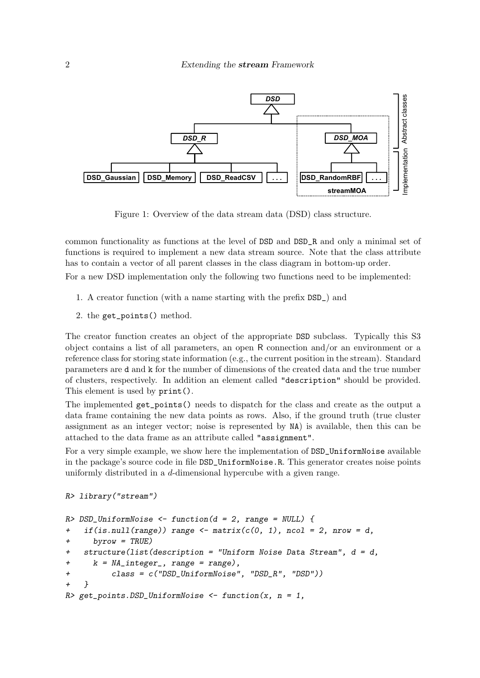

<span id="page-1-0"></span>Figure 1: Overview of the data stream data (DSD) class structure.

common functionality as functions at the level of DSD and DSD\_R and only a minimal set of functions is required to implement a new data stream source. Note that the class attribute has to contain a vector of all parent classes in the class diagram in bottom-up order.

For a new DSD implementation only the following two functions need to be implemented:

- 1. A creator function (with a name starting with the prefix DSD\_) and
- 2. the get\_points() method.

The creator function creates an object of the appropriate DSD subclass. Typically this S3 object contains a list of all parameters, an open R connection and/or an environment or a reference class for storing state information (e.g., the current position in the stream). Standard parameters are d and k for the number of dimensions of the created data and the true number of clusters, respectively. In addition an element called "description" should be provided. This element is used by print().

The implemented get\_points() needs to dispatch for the class and create as the output a data frame containing the new data points as rows. Also, if the ground truth (true cluster assignment as an integer vector; noise is represented by NA) is available, then this can be attached to the data frame as an attribute called "assignment".

For a very simple example, we show here the implementation of  $\texttt{DSD\_UniformNoise}$  available in the package's source code in file DSD\_UniformNoise.R. This generator creates noise points uniformly distributed in a d-dimensional hypercube with a given range.

```
R> library("stream")
```

```
R> DSD_UniformNoise <- function(d = 2, range = NULL) {
+ if(is.null(range)) range \leq matrix(c(0, 1), ncol = 2, nrow = d,
+ byrow = TRUE)
+ structure(list(description = "Uniform Noise Data Stream", d = d,
     k = NA\_integer_, range = range),
+ class = c("DSD_UniformNoise", "DSD_R", "DSD"))
+ }
R> get_points.DSD_UniformNoise <- function(x, n = 1,
```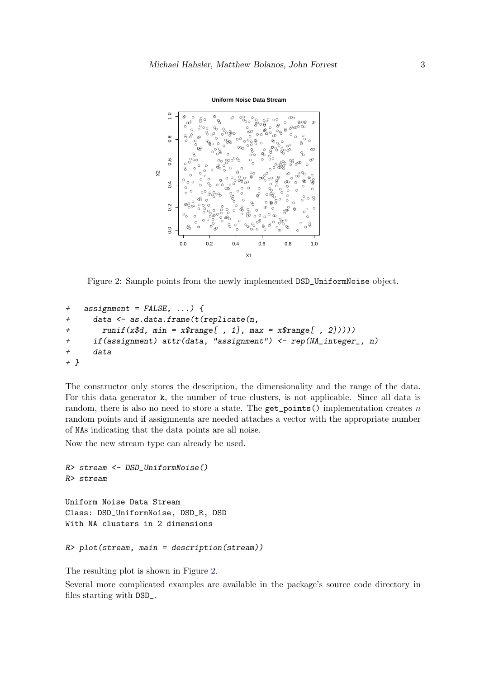

**Uniform Noise Data Stream**

<span id="page-2-0"></span>Figure 2: Sample points from the newly implemented DSD\_UniformNoise object.

```
+ assignment = FALSE, ...) {
+ data <- as.data.frame(t(replicate(n,
       runif(x$d, min = x$range[, 1], max = x$range[, 2]))+ if(assignment) attr(data, "assignment") <- rep(NA_integer_, n)
+ data
+ }
```
The constructor only stores the description, the dimensionality and the range of the data. For this data generator k, the number of true clusters, is not applicable. Since all data is random, there is also no need to store a state. The  $get\_points()$  implementation creates n random points and if assignments are needed attaches a vector with the appropriate number of NAs indicating that the data points are all noise.

Now the new stream type can already be used.

```
R> stream <- DSD_UniformNoise()
R> stream
Uniform Noise Data Stream
Class: DSD_UniformNoise, DSD_R, DSD
With NA clusters in 2 dimensions
```

```
R> plot(stream, main = description(stream))
```
The resulting plot is shown in Figure [2.](#page-2-0)

Several more complicated examples are available in the package's source code directory in files starting with DSD\_.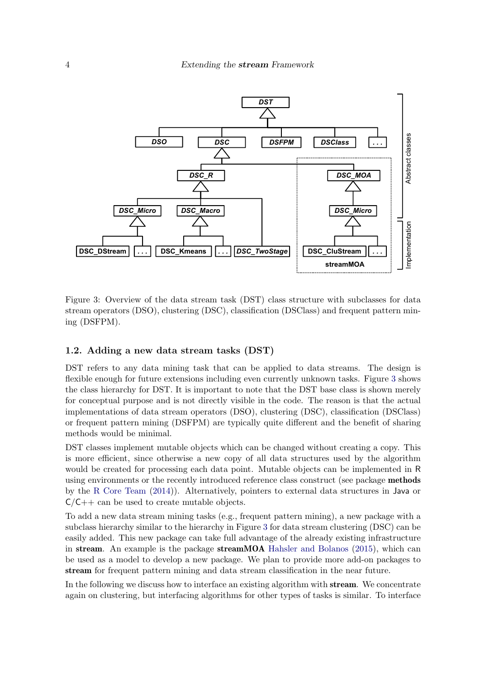

<span id="page-3-0"></span>Figure 3: Overview of the data stream task (DST) class structure with subclasses for data stream operators (DSO), clustering (DSC), classification (DSClass) and frequent pattern mining (DSFPM).

### 1.2. Adding a new data stream tasks (DST)

DST refers to any data mining task that can be applied to data streams. The design is flexible enough for future extensions including even currently unknown tasks. Figure [3](#page-3-0) shows the class hierarchy for DST. It is important to note that the DST base class is shown merely for conceptual purpose and is not directly visible in the code. The reason is that the actual implementations of data stream operators (DSO), clustering (DSC), classification (DSClass) or frequent pattern mining (DSFPM) are typically quite different and the benefit of sharing methods would be minimal.

DST classes implement mutable objects which can be changed without creating a copy. This is more efficient, since otherwise a new copy of all data structures used by the algorithm would be created for processing each data point. Mutable objects can be implemented in R using environments or the recently introduced reference class construct (see package methods by the [R Core Team](#page-4-2) [\(2014\)](#page-4-2)). Alternatively, pointers to external data structures in Java or  $C/C++$  can be used to create mutable objects.

To add a new data stream mining tasks (e.g., frequent pattern mining), a new package with a subclass hierarchy similar to the hierarchy in Figure [3](#page-3-0) for data stream clustering (DSC) can be easily added. This new package can take full advantage of the already existing infrastructure in stream. An example is the package streamMOA [Hahsler and Bolanos](#page-4-3) [\(2015\)](#page-4-3), which can be used as a model to develop a new package. We plan to provide more add-on packages to stream for frequent pattern mining and data stream classification in the near future.

In the following we discuss how to interface an existing algorithm with stream. We concentrate again on clustering, but interfacing algorithms for other types of tasks is similar. To interface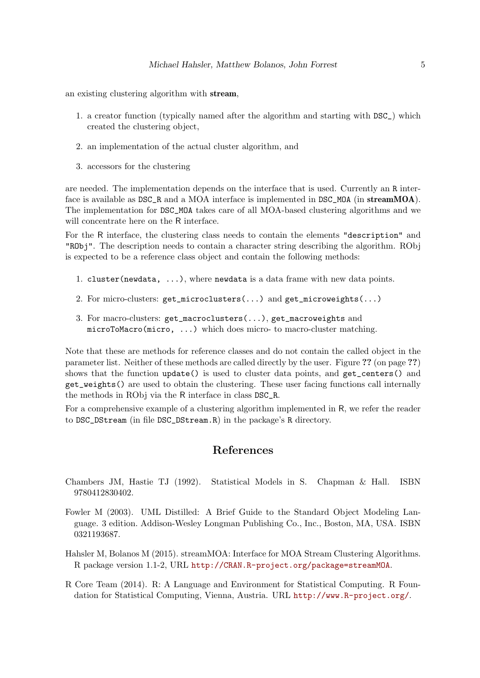an existing clustering algorithm with stream,

- 1. a creator function (typically named after the algorithm and starting with DSC\_) which created the clustering object,
- 2. an implementation of the actual cluster algorithm, and
- 3. accessors for the clustering

are needed. The implementation depends on the interface that is used. Currently an R interface is available as DSC\_R and a MOA interface is implemented in DSC\_MOA (in streamMOA). The implementation for DSC\_MOA takes care of all MOA-based clustering algorithms and we will concentrate here on the R interface.

For the R interface, the clustering class needs to contain the elements "description" and "RObj". The description needs to contain a character string describing the algorithm. RObj is expected to be a reference class object and contain the following methods:

- 1. cluster(newdata, ...), where newdata is a data frame with new data points.
- 2. For micro-clusters: get\_microclusters(...) and get\_microweights(...)
- 3. For macro-clusters: get\_macroclusters(...), get\_macroweights and microToMacro(micro, ...) which does micro- to macro-cluster matching.

Note that these are methods for reference classes and do not contain the called object in the parameter list. Neither of these methods are called directly by the user. Figure ?? (on page ??) shows that the function update() is used to cluster data points, and get\_centers() and get\_weights() are used to obtain the clustering. These user facing functions call internally the methods in RObj via the R interface in class DSC\_R.

For a comprehensive example of a clustering algorithm implemented in R, we refer the reader to DSC\_DStream (in file DSC\_DStream.R) in the package's R directory.

## References

- <span id="page-4-1"></span>Chambers JM, Hastie TJ (1992). Statistical Models in S. Chapman & Hall. ISBN 9780412830402.
- <span id="page-4-0"></span>Fowler M (2003). UML Distilled: A Brief Guide to the Standard Object Modeling Language. 3 edition. Addison-Wesley Longman Publishing Co., Inc., Boston, MA, USA. ISBN 0321193687.
- <span id="page-4-3"></span>Hahsler M, Bolanos M (2015). streamMOA: Interface for MOA Stream Clustering Algorithms. R package version 1.1-2, URL <http://CRAN.R-project.org/package=streamMOA>.
- <span id="page-4-2"></span>R Core Team (2014). R: A Language and Environment for Statistical Computing. R Foundation for Statistical Computing, Vienna, Austria. URL <http://www.R-project.org/>.